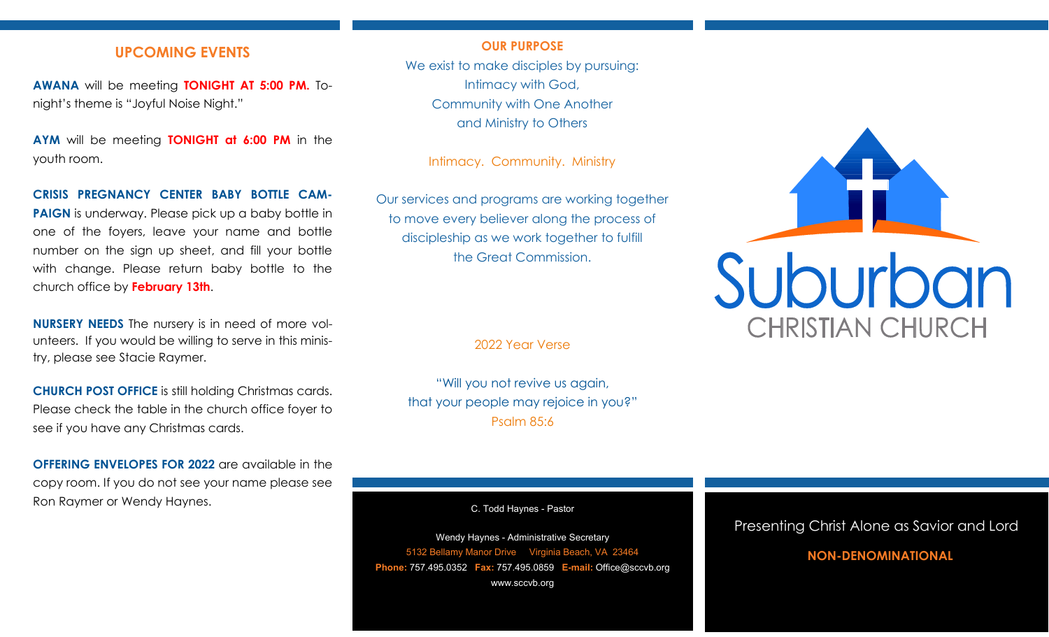## **UPCOMING EVENTS**

**AWANA** will be meeting **TONIGHT AT 5:00 PM.** Tonight's theme is "Joyful Noise Night."

**AYM** will be meeting **TONIGHT at 6:00 PM** in the youth room.

#### **CRISIS PREGNANCY CENTER BABY BOTTLE CAM-**

**PAIGN** is underway. Please pick up a baby bottle in one of the foyers, leave your name and bottle number on the sign up sheet, and fill your bottle with change. Please return baby bottle to the church office by **February 13th**.

**NURSERY NEEDS** The nursery is in need of more volunteers. If you would be willing to serve in this ministry, please see Stacie Raymer.

**CHURCH POST OFFICE** is still holding Christmas cards. Please check the table in the church office foyer to see if you have any Christmas cards.

**OFFERING ENVELOPES FOR 2022** are available in the copy room. If you do not see your name please see Ron Raymer or Wendy Haynes.

## **OUR PURPOSE**

We exist to make disciples by pursuing: Intimacy with God, Community with One Another and Ministry to Others

Intimacy. Community. Ministry

Our services and programs are working together to move every believer along the process of discipleship as we work together to fulfill the Great Commission.

2022 Year Verse

"Will you not revive us again, that your people may rejoice in you?" Psalm 85:6

C. Todd Haynes - Pastor

Wendy Haynes - Administrative Secretary 5132 Bellamy Manor Drive Virginia Beach, VA 23464 **Phone:** 757.495.0352 **Fax:** 757.495.0859 **E-mail:** Office@sccvb.org www.sccvb.org



## Presenting Christ Alone as Savior and Lord

## **NON-DENOMINATIONAL**